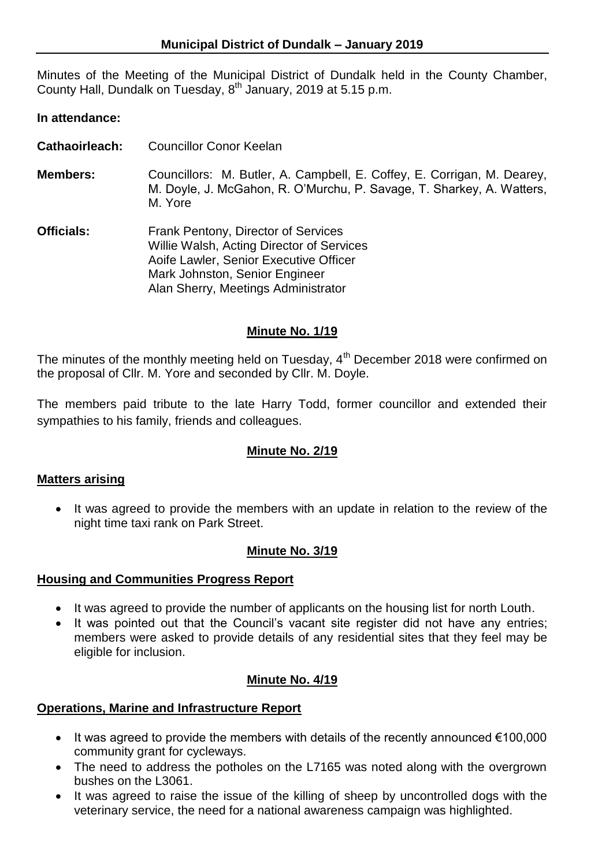Minutes of the Meeting of the Municipal District of Dundalk held in the County Chamber, County Hall, Dundalk on Tuesday, 8<sup>th</sup> January, 2019 at 5.15 p.m.

#### **In attendance:**

- **Cathaoirleach:** Councillor Conor Keelan
- **Members:** Councillors: M. Butler, A. Campbell, E. Coffey, E. Corrigan, M. Dearey, M. Doyle, J. McGahon, R. O'Murchu, P. Savage, T. Sharkey, A. Watters, M. Yore
- **Officials:** Frank Pentony, Director of Services Willie Walsh, Acting Director of Services Aoife Lawler, Senior Executive Officer Mark Johnston, Senior Engineer Alan Sherry, Meetings Administrator

#### **Minute No. 1/19**

The minutes of the monthly meeting held on Tuesday,  $4<sup>th</sup>$  December 2018 were confirmed on the proposal of Cllr. M. Yore and seconded by Cllr. M. Doyle.

The members paid tribute to the late Harry Todd, former councillor and extended their sympathies to his family, friends and colleagues.

### **Minute No. 2/19**

### **Matters arising**

• It was agreed to provide the members with an update in relation to the review of the night time taxi rank on Park Street.

### **Minute No. 3/19**

#### **Housing and Communities Progress Report**

- It was agreed to provide the number of applicants on the housing list for north Louth.
- It was pointed out that the Council's vacant site register did not have any entries; members were asked to provide details of any residential sites that they feel may be eligible for inclusion.

### **Minute No. 4/19**

#### **Operations, Marine and Infrastructure Report**

- It was agreed to provide the members with details of the recently announced  $\epsilon$ 100,000 community grant for cycleways.
- The need to address the potholes on the L7165 was noted along with the overgrown bushes on the L3061.
- It was agreed to raise the issue of the killing of sheep by uncontrolled dogs with the veterinary service, the need for a national awareness campaign was highlighted.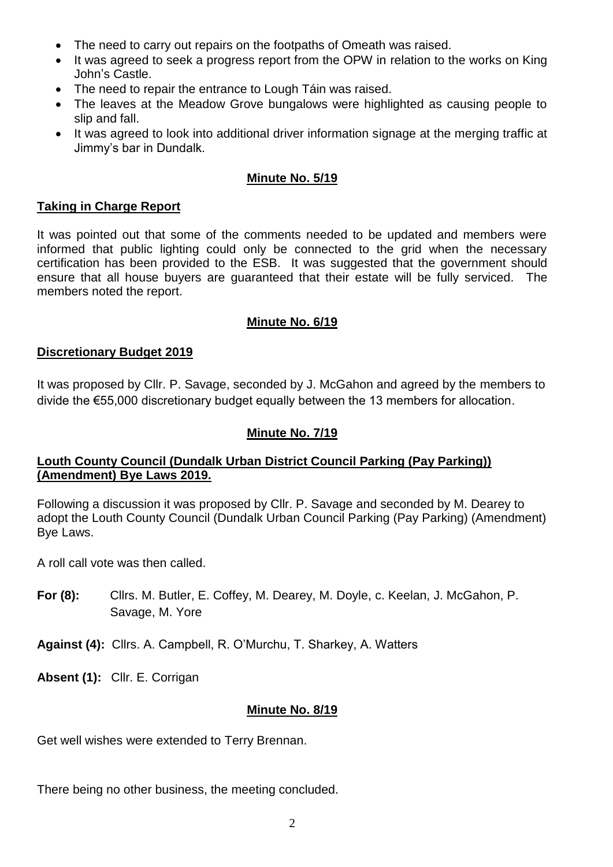- The need to carry out repairs on the footpaths of Omeath was raised.
- It was agreed to seek a progress report from the OPW in relation to the works on King John's Castle.
- The need to repair the entrance to Lough Táin was raised.
- The leaves at the Meadow Grove bungalows were highlighted as causing people to slip and fall.
- It was agreed to look into additional driver information signage at the merging traffic at Jimmy's bar in Dundalk.

# **Minute No. 5/19**

### **Taking in Charge Report**

It was pointed out that some of the comments needed to be updated and members were informed that public lighting could only be connected to the grid when the necessary certification has been provided to the ESB. It was suggested that the government should ensure that all house buyers are guaranteed that their estate will be fully serviced. The members noted the report.

## **Minute No. 6/19**

### **Discretionary Budget 2019**

It was proposed by Cllr. P. Savage, seconded by J. McGahon and agreed by the members to divide the €55,000 discretionary budget equally between the 13 members for allocation.

# **Minute No. 7/19**

## **Louth County Council (Dundalk Urban District Council Parking (Pay Parking)) (Amendment) Bye Laws 2019.**

Following a discussion it was proposed by Cllr. P. Savage and seconded by M. Dearey to adopt the Louth County Council (Dundalk Urban Council Parking (Pay Parking) (Amendment) Bye Laws.

A roll call vote was then called.

- **For (8):** Cllrs. M. Butler, E. Coffey, M. Dearey, M. Doyle, c. Keelan, J. McGahon, P. Savage, M. Yore
- **Against (4):** Cllrs. A. Campbell, R. O'Murchu, T. Sharkey, A. Watters

**Absent (1):** Cllr. E. Corrigan

### **Minute No. 8/19**

Get well wishes were extended to Terry Brennan.

There being no other business, the meeting concluded.